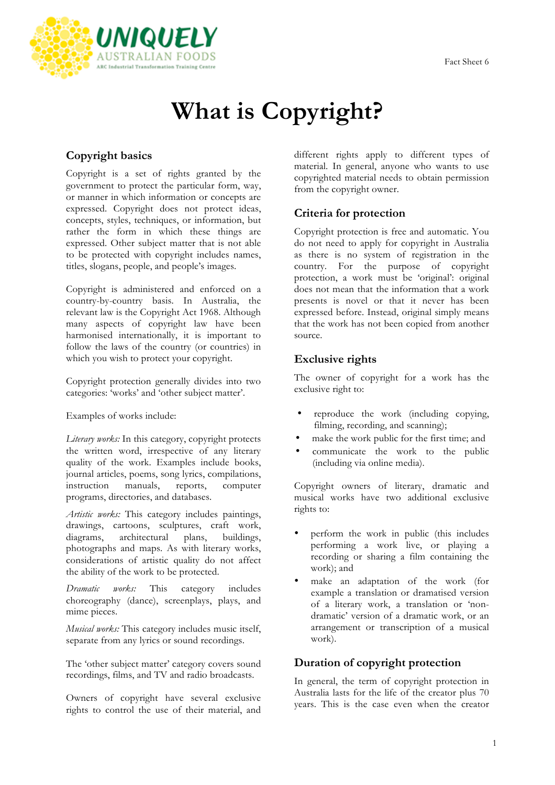

# **What is Copyright?**

## **Copyright basics**

Copyright is a set of rights granted by the government to protect the particular form, way, or manner in which information or concepts are expressed. Copyright does not protect ideas, concepts, styles, techniques, or information, but rather the form in which these things are expressed. Other subject matter that is not able to be protected with copyright includes names, titles, slogans, people, and people's images.

Copyright is administered and enforced on a country-by-country basis. In Australia, the relevant law is the Copyright Act 1968. Although many aspects of copyright law have been harmonised internationally, it is important to follow the laws of the country (or countries) in which you wish to protect your copyright.

Copyright protection generally divides into two categories: 'works' and 'other subject matter'.

Examples of works include:

*Literary works:* In this category, copyright protects the written word, irrespective of any literary quality of the work. Examples include books, journal articles, poems, song lyrics, compilations, instruction manuals, reports, computer programs, directories, and databases.

*Artistic works:* This category includes paintings, drawings, cartoons, sculptures, craft work, diagrams, architectural plans, buildings, photographs and maps. As with literary works, considerations of artistic quality do not affect the ability of the work to be protected.

*Dramatic works:* This category includes choreography (dance), screenplays, plays, and mime pieces.

*Musical works:* This category includes music itself, separate from any lyrics or sound recordings.

The 'other subject matter' category covers sound recordings, films, and TV and radio broadcasts.

Owners of copyright have several exclusive rights to control the use of their material, and different rights apply to different types of material. In general, anyone who wants to use copyrighted material needs to obtain permission from the copyright owner.

#### **Criteria for protection**

Copyright protection is free and automatic. You do not need to apply for copyright in Australia as there is no system of registration in the country. For the purpose of copyright protection, a work must be 'original': original does not mean that the information that a work presents is novel or that it never has been expressed before. Instead, original simply means that the work has not been copied from another source.

### **Exclusive rights**

The owner of copyright for a work has the exclusive right to:

- reproduce the work (including copying, filming, recording, and scanning);
- make the work public for the first time; and
- communicate the work to the public (including via online media).

Copyright owners of literary, dramatic and musical works have two additional exclusive rights to:

- perform the work in public (this includes performing a work live, or playing a recording or sharing a film containing the work); and
- make an adaptation of the work (for example a translation or dramatised version of a literary work, a translation or 'nondramatic' version of a dramatic work, or an arrangement or transcription of a musical work).

## **Duration of copyright protection**

In general, the term of copyright protection in Australia lasts for the life of the creator plus 70 years. This is the case even when the creator